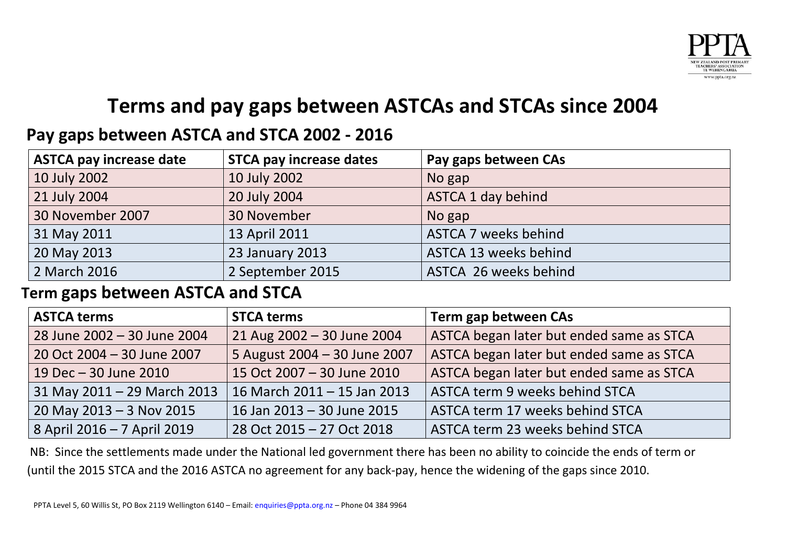

# **Terms and pay gaps between ASTCAs and STCAs since 2004**

## **Pay gaps between ASTCA and STCA 2002 - 2016**

| <b>ASTCA pay increase date</b> | <b>STCA pay increase dates</b> | Pay gaps between CAs        |
|--------------------------------|--------------------------------|-----------------------------|
| 10 July 2002                   | 10 July 2002                   | No gap                      |
| 21 July 2004                   | 20 July 2004                   | ASTCA 1 day behind          |
| 30 November 2007               | 30 November                    | No gap                      |
| 31 May 2011                    | 13 April 2011                  | <b>ASTCA 7 weeks behind</b> |
| 20 May 2013                    | 23 January 2013                | ASTCA 13 weeks behind       |
| 2 March 2016                   | 2 September 2015               | ASTCA 26 weeks behind       |

### **Term gaps between ASTCA and STCA**

| <b>ASTCA terms</b>          | <b>STCA terms</b>            | Term gap between CAs                     |
|-----------------------------|------------------------------|------------------------------------------|
| 28 June 2002 - 30 June 2004 | 21 Aug 2002 - 30 June 2004   | ASTCA began later but ended same as STCA |
| 20 Oct 2004 - 30 June 2007  | 5 August 2004 - 30 June 2007 | ASTCA began later but ended same as STCA |
| 19 Dec - 30 June 2010       | 15 Oct 2007 - 30 June 2010   | ASTCA began later but ended same as STCA |
| 31 May 2011 – 29 March 2013 | 16 March 2011 - 15 Jan 2013  | ASTCA term 9 weeks behind STCA           |
| $20$ May 2013 - 3 Nov 2015  | 16 Jan 2013 - 30 June 2015   | ASTCA term 17 weeks behind STCA          |
| 8 April 2016 - 7 April 2019 | 28 Oct 2015 - 27 Oct 2018    | ASTCA term 23 weeks behind STCA          |

NB: Since the settlements made under the National led government there has been no ability to coincide the ends of term or (until the 2015 STCA and the 2016 ASTCA no agreement for any back-pay, hence the widening of the gaps since 2010.